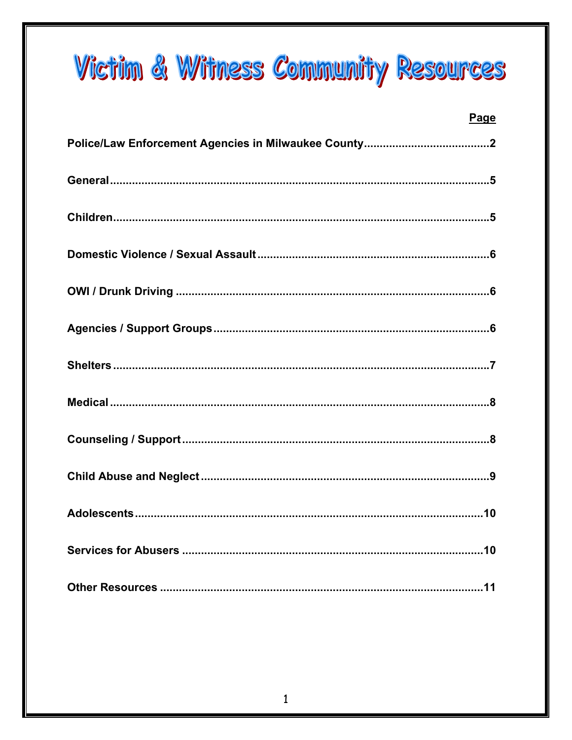# **Victim & Witness Community Resources**

| <b>Page</b> |
|-------------|
|             |
|             |
|             |
|             |
|             |
|             |
|             |
|             |
|             |
|             |
|             |
|             |
|             |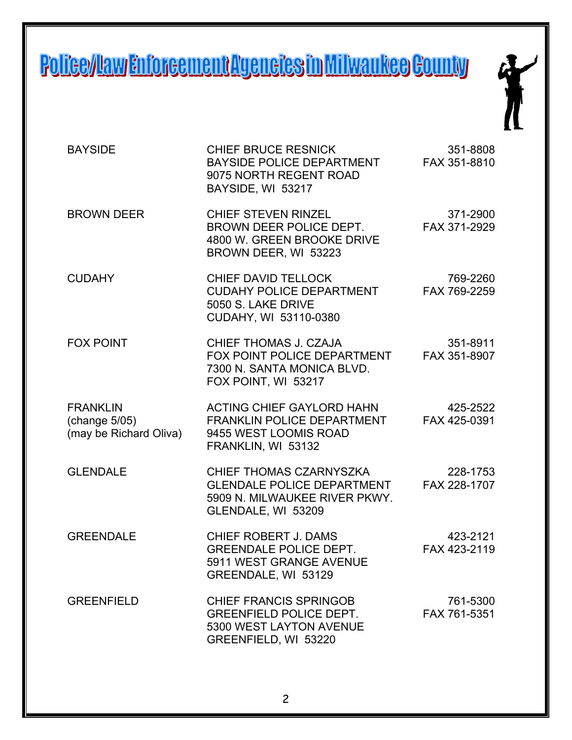# Police/Ilaw Enforcement Agencies in Milwaukee County



| <b>BAYSIDE</b>                                             | <b>CHIEF BRUCE RESNICK</b><br>BAYSIDE POLICE DEPARTMENT<br>9075 NORTH REGENT ROAD<br>BAYSIDE, WI 53217              | 351-8808<br>FAX 351-8810 |
|------------------------------------------------------------|---------------------------------------------------------------------------------------------------------------------|--------------------------|
| <b>BROWN DEER</b>                                          | <b>CHIEF STEVEN RINZEL</b><br>BROWN DEER POLICE DEPT.<br>4800 W. GREEN BROOKE DRIVE<br>BROWN DEER, WI 53223         | 371-2900<br>FAX 371-2929 |
| <b>CUDAHY</b>                                              | <b>CHIEF DAVID TELLOCK</b><br><b>CUDAHY POLICE DEPARTMENT</b><br>5050 S. LAKE DRIVE<br>CUDAHY, WI 53110-0380        | 769-2260<br>FAX 769-2259 |
| <b>FOX POINT</b>                                           | CHIEF THOMAS J. CZAJA<br>FOX POINT POLICE DEPARTMENT<br>7300 N. SANTA MONICA BLVD.<br>FOX POINT, WI 53217           | 351-8911<br>FAX 351-8907 |
| <b>FRANKLIN</b><br>(change 5/05)<br>(may be Richard Oliva) | ACTING CHIEF GAYLORD HAHN<br>FRANKLIN POLICE DEPARTMENT<br>9455 WEST LOOMIS ROAD<br>FRANKLIN, WI 53132              | 425-2522<br>FAX 425-0391 |
| <b>GLENDALE</b>                                            | CHIEF THOMAS CZARNYSZKA<br><b>GLENDALE POLICE DEPARTMENT</b><br>5909 N. MILWAUKEE RIVER PKWY.<br>GLENDALE, WI 53209 | 228-1753<br>FAX 228-1707 |
| <b>GREENDALE</b>                                           | <b>CHIEF ROBERT J. DAMS</b><br><b>GREENDALE POLICE DEPT.</b><br>5911 WEST GRANGE AVENUE<br>GREENDALE, WI 53129      | 423-2121<br>FAX 423-2119 |
| <b>GREENFIELD</b>                                          | <b>CHIEF FRANCIS SPRINGOB</b><br><b>GREENFIELD POLICE DEPT.</b><br>5300 WEST LAYTON AVENUE<br>GREENFIELD, WI 53220  | 761-5300<br>FAX 761-5351 |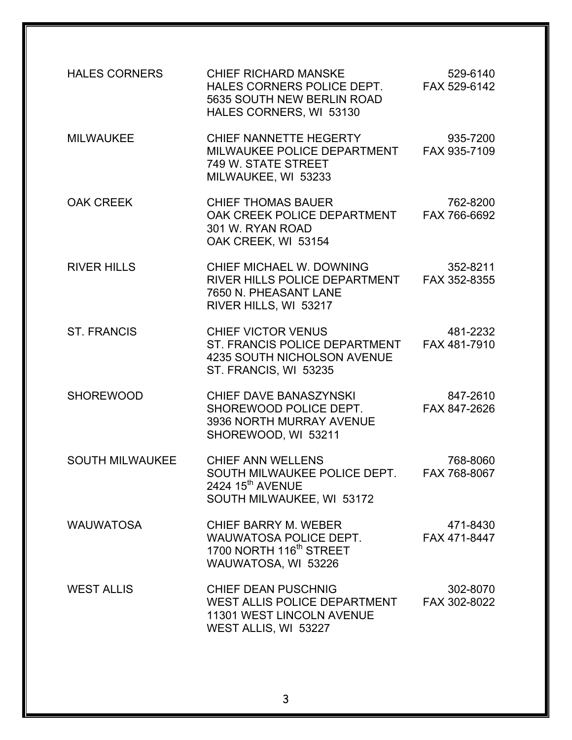| <b>HALES CORNERS</b>   | <b>CHIEF RICHARD MANSKE</b><br>HALES CORNERS POLICE DEPT.<br>5635 SOUTH NEW BERLIN ROAD<br>HALES CORNERS, WI 53130        | 529-6140<br>FAX 529-6142 |
|------------------------|---------------------------------------------------------------------------------------------------------------------------|--------------------------|
| <b>MILWAUKEE</b>       | CHIEF NANNETTE HEGERTY<br>MILWAUKEE POLICE DEPARTMENT<br>749 W. STATE STREET<br>MILWAUKEE, WI 53233                       | 935-7200<br>FAX 935-7109 |
| <b>OAK CREEK</b>       | <b>CHIEF THOMAS BAUER</b><br>OAK CREEK POLICE DEPARTMENT<br>301 W. RYAN ROAD<br>OAK CREEK, WI 53154                       | 762-8200<br>FAX 766-6692 |
| <b>RIVER HILLS</b>     | CHIEF MICHAEL W. DOWNING<br>RIVER HILLS POLICE DEPARTMENT FAX 352-8355<br>7650 N. PHEASANT LANE<br>RIVER HILLS, WI 53217  | 352-8211                 |
| <b>ST. FRANCIS</b>     | <b>CHIEF VICTOR VENUS</b><br>ST. FRANCIS POLICE DEPARTMENT<br><b>4235 SOUTH NICHOLSON AVENUE</b><br>ST. FRANCIS, WI 53235 | 481-2232<br>FAX 481-7910 |
| <b>SHOREWOOD</b>       | CHIEF DAVE BANASZYNSKI<br>SHOREWOOD POLICE DEPT.<br>3936 NORTH MURRAY AVENUE<br>SHOREWOOD, WI 53211                       | 847-2610<br>FAX 847-2626 |
| <b>SOUTH MILWAUKEE</b> | <b>CHIEF ANN WELLENS</b><br>SOUTH MILWAUKEE POLICE DEPT.<br>2424 15 <sup>th</sup> AVENUE<br>SOUTH MILWAUKEE, WI 53172     | 768-8060<br>FAX 768-8067 |
| <b>WAUWATOSA</b>       | <b>CHIEF BARRY M. WEBER</b><br>WAUWATOSA POLICE DEPT.<br>1700 NORTH 116 <sup>th</sup> STREET<br>WAUWATOSA, WI 53226       | 471-8430<br>FAX 471-8447 |
| <b>WEST ALLIS</b>      | <b>CHIEF DEAN PUSCHNIG</b><br>WEST ALLIS POLICE DEPARTMENT<br><b>11301 WEST LINCOLN AVENUE</b><br>WEST ALLIS, WI 53227    | 302-8070<br>FAX 302-8022 |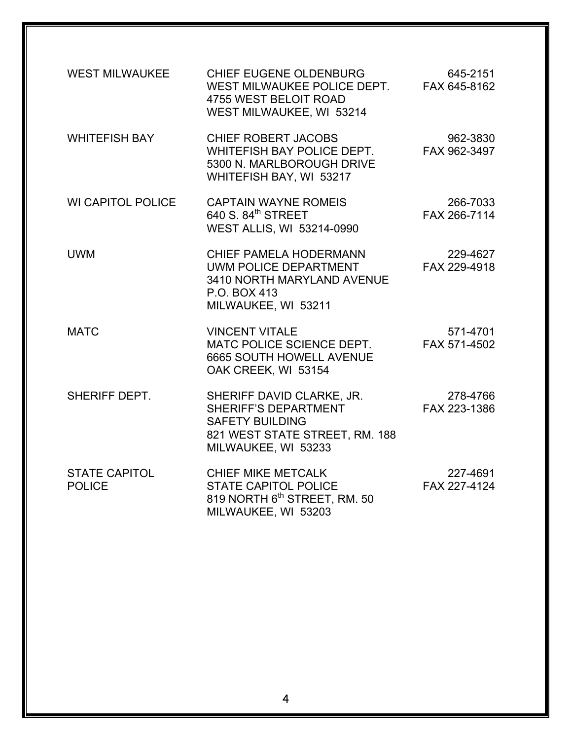| <b>WEST MILWAUKEE</b>                 | CHIEF EUGENE OLDENBURG<br>WEST MILWAUKEE POLICE DEPT.<br>4755 WEST BELOIT ROAD<br>WEST MILWAUKEE, WI 53214                                  | 645-2151<br>FAX 645-8162 |
|---------------------------------------|---------------------------------------------------------------------------------------------------------------------------------------------|--------------------------|
| <b>WHITEFISH BAY</b>                  | CHIEF ROBERT JACOBS<br>WHITEFISH BAY POLICE DEPT.<br>5300 N. MARLBOROUGH DRIVE<br>WHITEFISH BAY, WI 53217                                   | 962-3830<br>FAX 962-3497 |
| <b>WI CAPITOL POLICE</b>              | <b>CAPTAIN WAYNE ROMEIS</b><br>640 S. 84 <sup>th</sup> STREET<br>WEST ALLIS, WI 53214-0990                                                  | 266-7033<br>FAX 266-7114 |
| <b>UWM</b>                            | <b>CHIEF PAMELA HODERMANN</b><br><b>UWM POLICE DEPARTMENT</b><br>3410 NORTH MARYLAND AVENUE<br>P.O. BOX 413<br>MILWAUKEE, WI 53211          | 229-4627<br>FAX 229-4918 |
| <b>MATC</b>                           | <b>VINCENT VITALE</b><br>MATC POLICE SCIENCE DEPT.<br><b>6665 SOUTH HOWELL AVENUE</b><br>OAK CREEK, WI 53154                                | 571-4701<br>FAX 571-4502 |
| <b>SHERIFF DEPT.</b>                  | SHERIFF DAVID CLARKE, JR.<br><b>SHERIFF'S DEPARTMENT</b><br><b>SAFETY BUILDING</b><br>821 WEST STATE STREET, RM. 188<br>MILWAUKEE, WI 53233 | 278-4766<br>FAX 223-1386 |
| <b>STATE CAPITOL</b><br><b>POLICE</b> | <b>CHIEF MIKE METCALK</b><br><b>STATE CAPITOL POLICE</b><br>819 NORTH 6 <sup>th</sup> STREET, RM. 50<br>MILWAUKEE, WI 53203                 | 227-4691<br>FAX 227-4124 |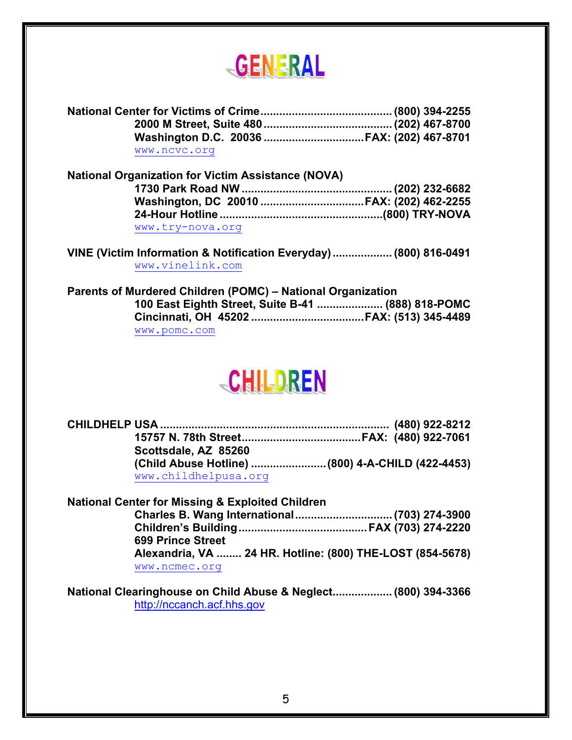

|                                                           | Washington D.C. 20036 FAX: (202) 467-8701 |  |
|-----------------------------------------------------------|-------------------------------------------|--|
| www.ncvc.org                                              |                                           |  |
| <b>National Organization for Victim Assistance (NOVA)</b> |                                           |  |

| www.try-nova.org |  |
|------------------|--|

**VINE (Victim Information & Notification Everyday)................... (800) 816-0491**  www.vinelink.com

**Parents of Murdered Children (POMC) – National Organization 100 East Eighth Street, Suite B-41 ..................... (888) 818-POMC Cincinnati, OH 45202 ....................................FAX: (513) 345-4489**  www.pomc.com

## **CHILDREN**

| Scottsdale, AZ 85260 |  |
|----------------------|--|
|                      |  |
| www.childhelpusa.org |  |
|                      |  |

**National Center for Missing & Exploited Children Charles B. Wang International...............................(703) 274-3900 Children's Building.........................................FAX (703) 274-2220 699 Prince Street Alexandria, VA ........ 24 HR. Hotline: (800) THE-LOST (854-5678)**  www.ncmec.org

**National Clearinghouse on Child Abuse & Neglect................... (800) 394-3366**  http://nccanch.acf.hhs.gov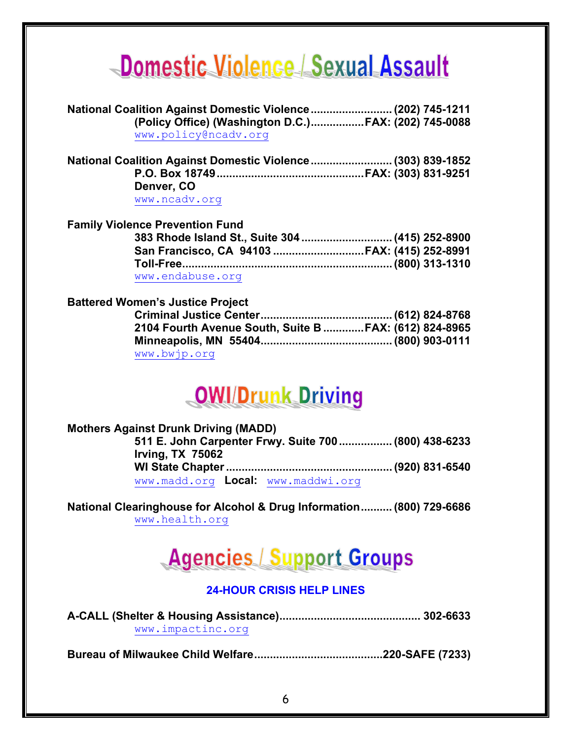# Domestic Violence | Sexual Assault

| National Coalition Against Domestic Violence (202) 745-1211 |  |
|-------------------------------------------------------------|--|
| (Policy Office) (Washington D.C.)FAX: (202) 745-0088        |  |
| www.policy@ncadv.org                                        |  |
| National Coalition Against Domestic Violence (303) 839-1852 |  |
|                                                             |  |
| Denver, CO                                                  |  |
| www.ncadv.org                                               |  |
| <b>Family Violence Prevention Fund</b>                      |  |
|                                                             |  |
| San Francisco, CA 94103 FAX: (415) 252-8991                 |  |
|                                                             |  |
| www.endabuse.org                                            |  |

#### **Battered Women's Justice Project**

|              | 2104 Fourth Avenue South, Suite B FAX: (612) 824-8965 |
|--------------|-------------------------------------------------------|
|              |                                                       |
| www.bwjp.org |                                                       |

### **OWI/Drunk Driving**

### **Mothers Against Drunk Driving (MADD)**

| Irving, $TX$ 75062                 | 511 E. John Carpenter Frwy. Suite 700 (800) 438-6233 |
|------------------------------------|------------------------------------------------------|
|                                    |                                                      |
| www.madd.org Local: www.maddwi.org |                                                      |

#### **National Clearinghouse for Alcohol & Drug Information.......... (800) 729-6686**  www.health.org

### **Agencies / Support Groups**

### **24-HOUR CRISIS HELP LINES**

| www.impactinc.org |  |
|-------------------|--|

**Bureau of Milwaukee Child Welfare.........................................220-SAFE (7233)**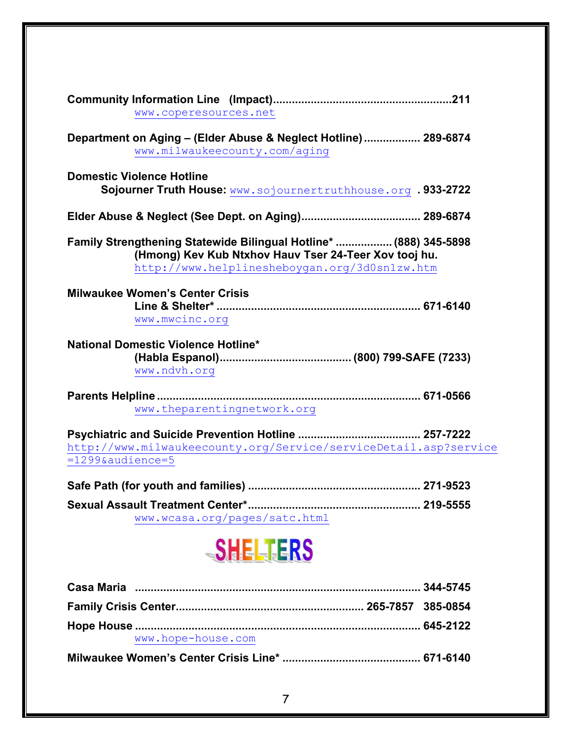| www.coperesources.net                                                                                                                                                       |
|-----------------------------------------------------------------------------------------------------------------------------------------------------------------------------|
| Department on Aging - (Elder Abuse & Neglect Hotline) 289-6874<br>www.milwaukeecounty.com/aging                                                                             |
| <b>Domestic Violence Hotline</b><br>Sojourner Truth House: www.sojournertruthhouse.org . 933-2722                                                                           |
|                                                                                                                                                                             |
| Family Strengthening Statewide Bilingual Hotline*  (888) 345-5898<br>(Hmong) Kev Kub Ntxhov Hauv Tser 24-Teer Xov tooj hu.<br>http://www.helplinesheboygan.org/3d0sn1zw.htm |
| <b>Milwaukee Women's Center Crisis</b><br>www.mwcinc.org                                                                                                                    |
| National Domestic Violence Hotline*<br>www.ndvh.org                                                                                                                         |
| www.theparentingnetwork.org                                                                                                                                                 |
| http://www.milwaukeecounty.org/Service/serviceDetail.asp?service<br>$=1299$ & audience=5                                                                                    |
|                                                                                                                                                                             |
| www.wcasa.org/pages/satc.html                                                                                                                                               |



| www.hope-house.com |  |
|--------------------|--|
|                    |  |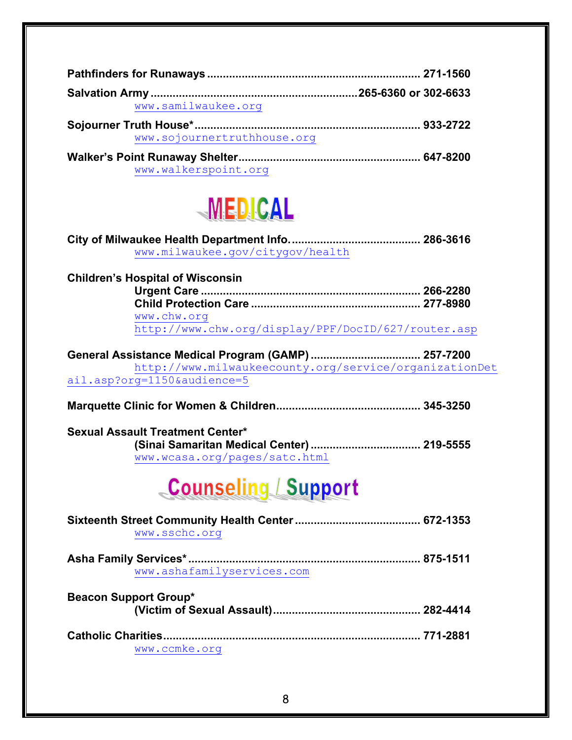| www.samilwaukee.org         |  |
|-----------------------------|--|
|                             |  |
| www.sojournertruthhouse.org |  |
|                             |  |
| www.walkerspoint.org        |  |



| www.milwaukee.gov/citygov/health                                                                                       |  |
|------------------------------------------------------------------------------------------------------------------------|--|
| <b>Children's Hospital of Wisconsin</b>                                                                                |  |
|                                                                                                                        |  |
|                                                                                                                        |  |
| www.chw.org                                                                                                            |  |
| http://www.chw.org/display/PPF/DocID/627/router.asp                                                                    |  |
| General Assistance Medical Program (GAMP) 257-7200                                                                     |  |
| http://www.milwaukeecounty.org/service/organizationDet                                                                 |  |
| ail.asp?org=1150&audience=5                                                                                            |  |
|                                                                                                                        |  |
| <b>Sexual Assault Treatment Center*</b><br>(Sinai Samaritan Medical Center)  219-5555<br>www.wcasa.org/pages/satc.html |  |
| <b>Counseling / Support</b>                                                                                            |  |
| www.sschc.org                                                                                                          |  |
| www.ashafamilyservices.com                                                                                             |  |
| <b>Beacon Support Group*</b>                                                                                           |  |
| www.ccmke.org                                                                                                          |  |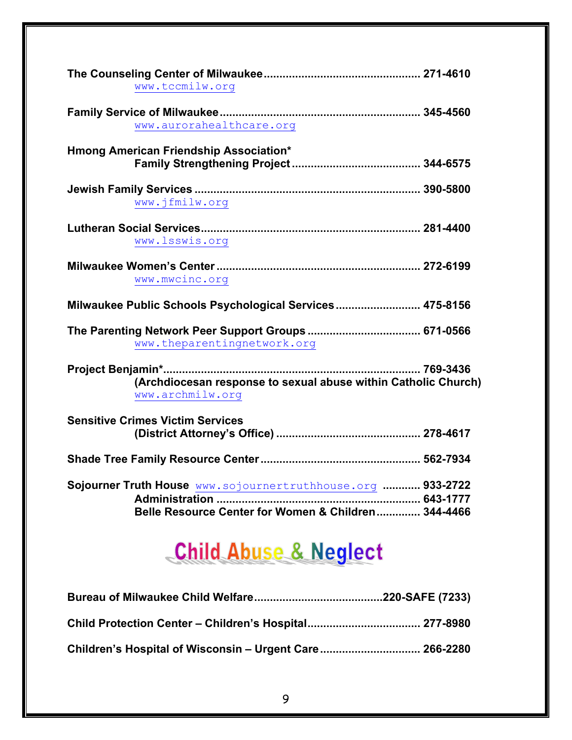| www.tccmilw.org                                                                                                    |  |
|--------------------------------------------------------------------------------------------------------------------|--|
| www.aurorahealthcare.org                                                                                           |  |
| Hmong American Friendship Association*                                                                             |  |
| www.jfmilw.org                                                                                                     |  |
| www.lsswis.org                                                                                                     |  |
| www.mwcinc.org                                                                                                     |  |
| Milwaukee Public Schools Psychological Services 475-8156                                                           |  |
| www.theparentingnetwork.org                                                                                        |  |
| (Archdiocesan response to sexual abuse within Catholic Church)<br>www.archmilw.org                                 |  |
| <b>Sensitive Crimes Victim Services</b>                                                                            |  |
|                                                                                                                    |  |
| Sojourner Truth House www.sojournertruthhouse.org  933-2722<br>Belle Resource Center for Women & Children 344-4466 |  |

## **Child Abuse & Neglect**

| Children's Hospital of Wisconsin – Urgent Care 266-2280 |  |
|---------------------------------------------------------|--|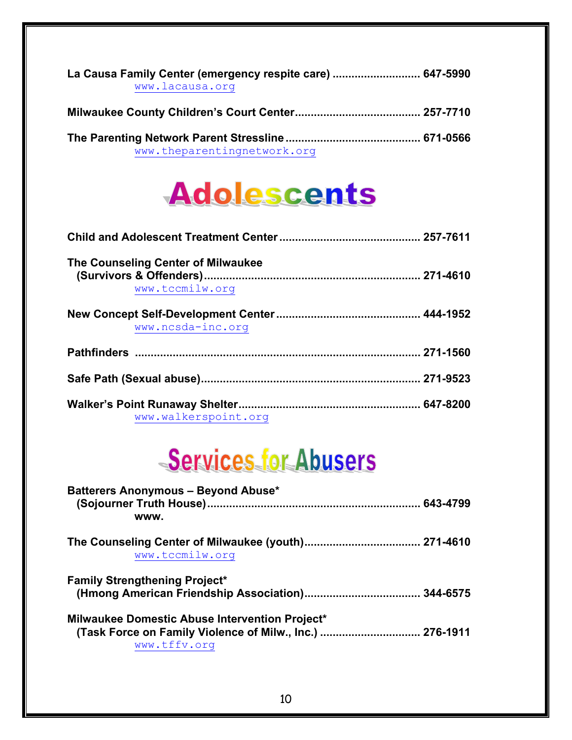| La Causa Family Center (emergency respite care)  647-5990<br>www.lacausa.org |  |
|------------------------------------------------------------------------------|--|
|                                                                              |  |
| www.theparentingnetwork.org                                                  |  |



| The Counseling Center of Milwaukee |  |
|------------------------------------|--|
| www.tccmilw.org                    |  |
| www.ncsda-inc.org                  |  |
|                                    |  |
|                                    |  |
| www.walkerspoint.org               |  |

# Services for Abusers

| Batterers Anonymous - Beyond Abuse*<br>(Sojourner Truth House)………………………………………………………… 643-4799                                     |  |
|-----------------------------------------------------------------------------------------------------------------------------------|--|
| <b>WWW.</b>                                                                                                                       |  |
| www.tccmilw.org                                                                                                                   |  |
| <b>Family Strengthening Project*</b>                                                                                              |  |
| <b>Milwaukee Domestic Abuse Intervention Project*</b><br>(Task Force on Family Violence of Milw., Inc.)  276-1911<br>www.tffv.org |  |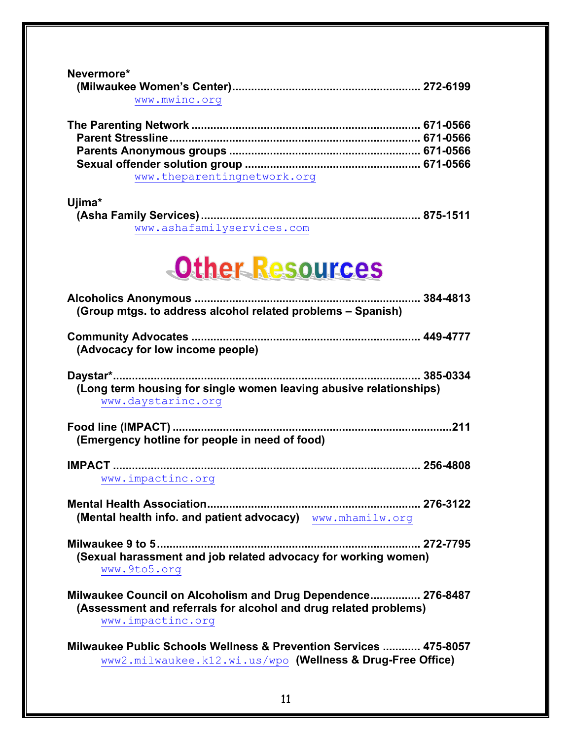### **Nevermore\***

| WWW.MWINC.Org |  |
|---------------|--|

| www.theparentingnetwork.org |  |
|-----------------------------|--|

### **Ujima\***

| www.ashafamilyservices.com |  |
|----------------------------|--|

# Other Resources

| (Group mtgs. to address alcohol related problems – Spanish)                                                                                           |
|-------------------------------------------------------------------------------------------------------------------------------------------------------|
| (Advocacy for low income people)                                                                                                                      |
| (Long term housing for single women leaving abusive relationships)<br>www.daystarinc.org                                                              |
| (Emergency hotline for people in need of food)                                                                                                        |
| www.impactinc.org                                                                                                                                     |
| (Mental health info. and patient advocacy) www.mhamilw.org                                                                                            |
| (Sexual harassment and job related advocacy for working women)<br>www.9to5.org                                                                        |
| Milwaukee Council on Alcoholism and Drug Dependence 276-8487<br>(Assessment and referrals for alcohol and drug related problems)<br>www.impactinc.org |
| Milwaukee Public Schools Wellness & Prevention Services  475-8057<br>www2.milwaukee.k12.wi.us/wpo (Wellness & Drug-Free Office)                       |